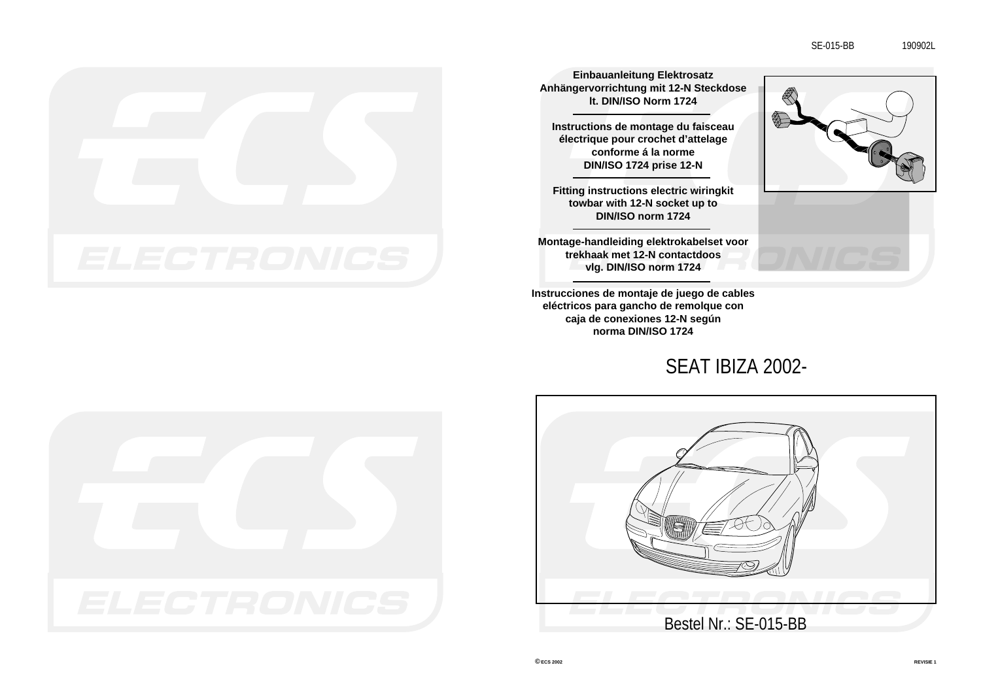

**Einbauanleitung Elektrosatz Anhängervorrichtung mit 12-N Steckdose lt. DIN/ISO Norm 1724**

**Instructions de montage du faisceau électrique pour crochet d'attelage conforme á la norme DIN/ISO 1724 prise 12-N**

**Fitting instructions electric wiringkit towbar with 12-N socket up to DIN/ISO norm 1724**

**Montage-handleiding elektrokabelset voor trekhaak met 12-N contactdoos vlg. DIN/ISO norm 1724**

**Instrucciones de montaje de juego de cables eléctricos para gancho de remolque con caja de conexiones 12-N según norma DIN/ISO 1724**

SEAT IBIZA 2002-







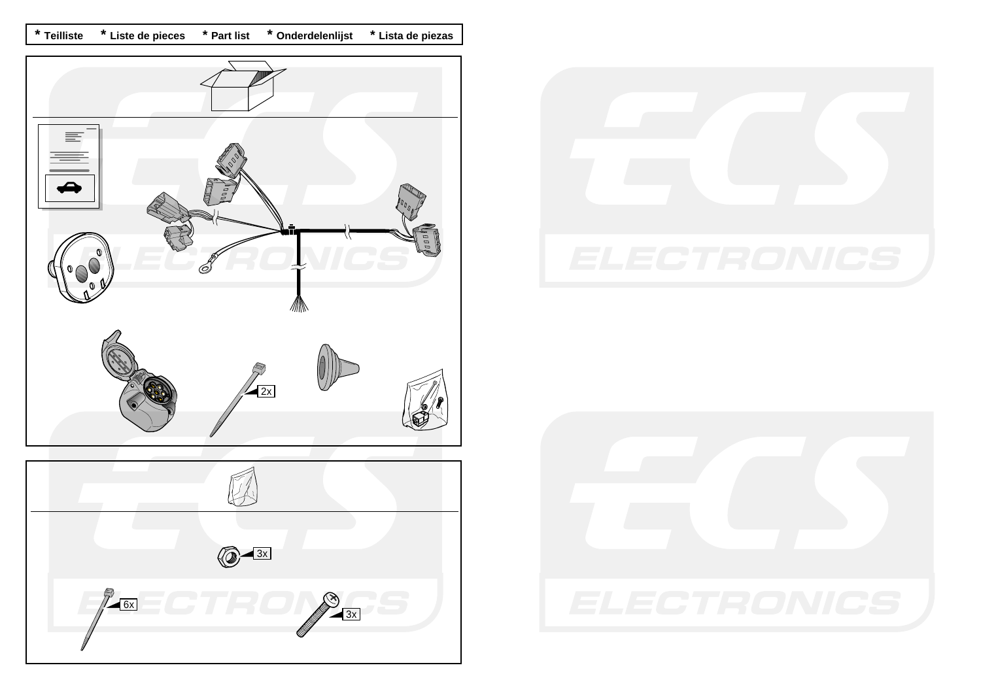**\* Teilliste \* Liste de pieces \* Part list \* Onderdelenlijst \* Lista de piezas** 





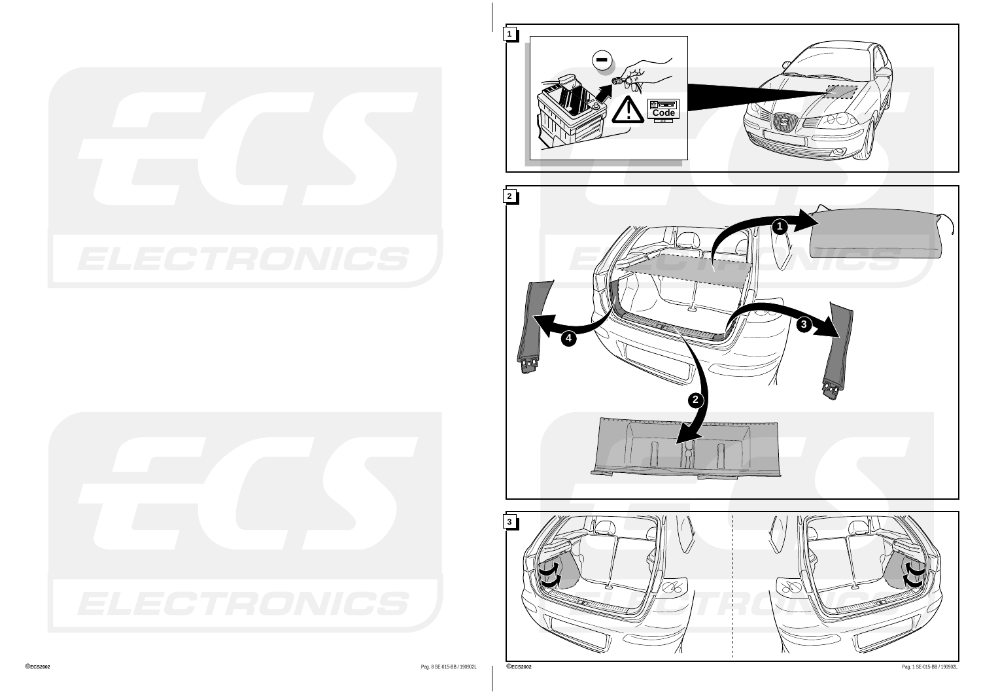





**2**

.<br>...........



<u>. . . . . . . . . . . . . . . .</u>

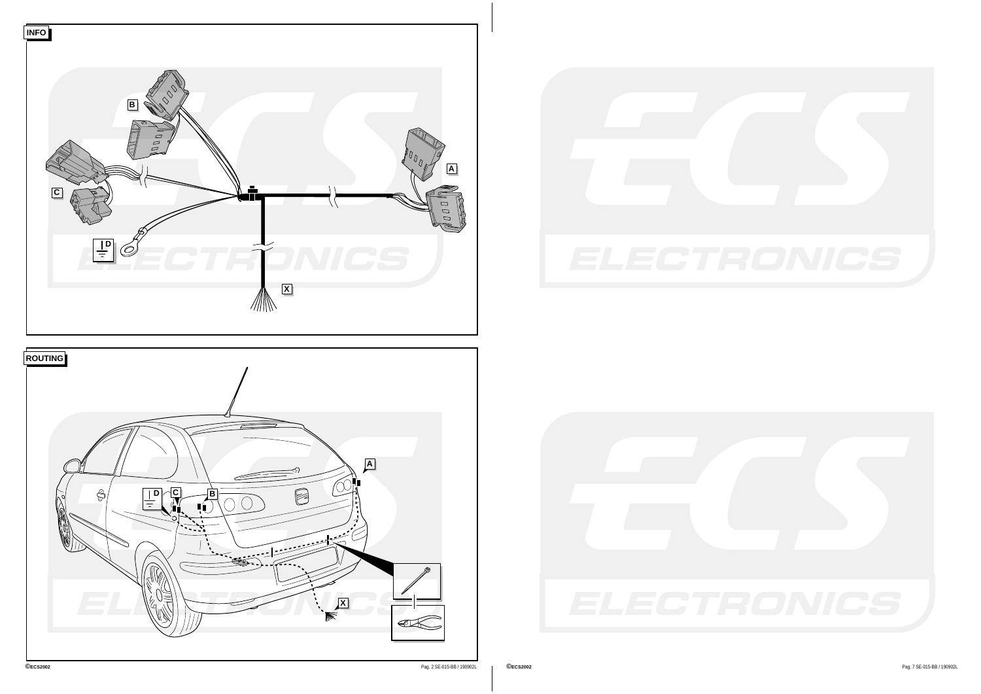





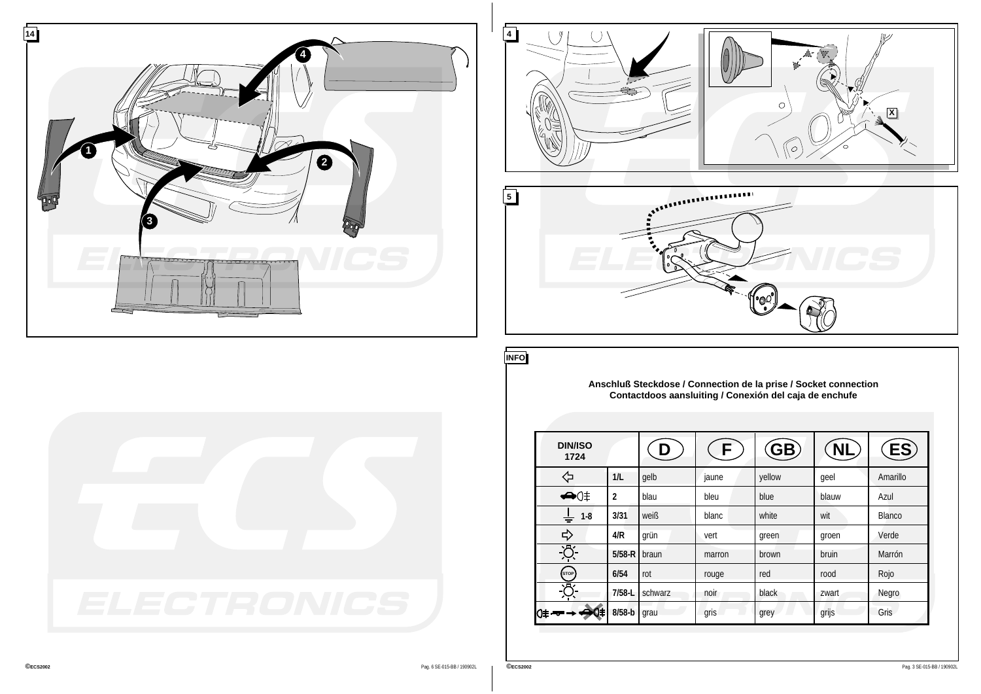





**INFO**

**Anschluß Steckdose / Connection de la prise / Socket connection Contactdoos aansluiting / Conexión del caja de enchufe**

| <b>DIN/ISO</b><br>1724    |                |         |        | (GB)   | NL,   | ES)      |
|---------------------------|----------------|---------|--------|--------|-------|----------|
| ⇦                         | 1/L            | qelb    | jaune  | yellow | qeel  | Amarillo |
| $\bigoplus$ () $\ddagger$ | $\overline{2}$ | blau    | bleu   | blue   | blauw | Azul     |
| $1 - 8$<br>$\div$         | 3/31           | weiß    | blanc  | white  | wit   | Blanco   |
| ⇨                         | 4/R            | grün    | vert   | green  | groen | Verde    |
| Ķ                         | $5/58-R$       | braun   | marron | brown  | bruin | Marrón   |
| (STOP)                    | 6/54           | rot     | rouge  | red    | rood  | Rojo     |
| ۰д                        | $7/58 - L$     | schwarz | noir   | black  | zwart | Negro    |
| 11<br>O≢ -                | $8/58-b$       | grau    | gris   | grey   | grijs | Gris     |